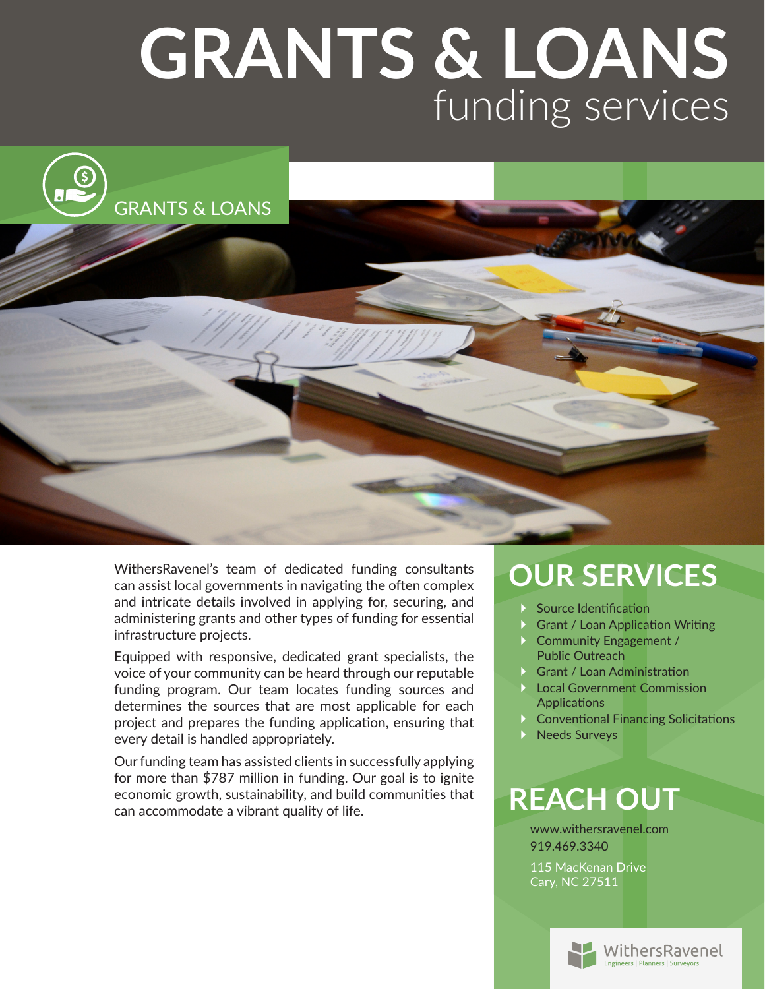## **GRANTS & LOANS** funding services



WithersRavenel's team of dedicated funding consultants can assist local governments in navigating the often complex and intricate details involved in applying for, securing, and administering grants and other types of funding for essential infrastructure projects.

Equipped with responsive, dedicated grant specialists, the voice of your community can be heard through our reputable funding program. Our team locates funding sources and determines the sources that are most applicable for each project and prepares the funding application, ensuring that every detail is handled appropriately.

Our funding team has assisted clients in successfully applying for more than \$787 million in funding. Our goal is to ignite economic growth, sustainability, and build communities that can accommodate a vibrant quality of life.

### **OUR SERVICES**

- Source Identification
- ▶ Grant / Loan Application Writing
- ▶ Community Engagement / Public Outreach
- ▶ Grant / Loan Administration
- ▶ Local Government Commission **Applications**
- ▶ Conventional Financing Solicitations
- Needs Surveys

#### **REACH OUT**

www.withersravenel.com 919.469.3340 115 MacKenan Drive Cary, NC 27511